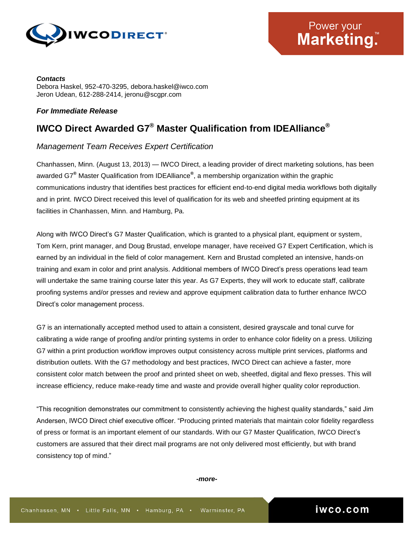

#### *Contacts*

Debora Haskel, 952-470-3295, debora.haskel@iwco.com Jeron Udean, 612-288-2414, jeronu@scgpr.com

### *For Immediate Release*

# **IWCO Direct Awarded G7® Master Qualification from IDEAlliance®**

## *Management Team Receives Expert Certification*

Chanhassen, Minn. (August 13, 2013) — IWCO Direct, a leading provider of direct marketing solutions, has been awarded G7**®** Master Qualification from IDEAlliance**®** , a membership organization within the graphic communications industry that identifies best practices for efficient end-to-end digital media workflows both digitally and in print. IWCO Direct received this level of qualification for its web and sheetfed printing equipment at its facilities in Chanhassen, Minn. and Hamburg, Pa.

Along with IWCO Direct's G7 Master Qualification, which is granted to a physical plant, equipment or system, Tom Kern, print manager, and Doug Brustad, envelope manager, have received G7 Expert Certification, which is earned by an individual in the field of color management. Kern and Brustad completed an intensive, hands-on training and exam in color and print analysis. Additional members of IWCO Direct's press operations lead team will undertake the same training course later this year. As G7 Experts, they will work to educate staff, calibrate proofing systems and/or presses and review and approve equipment calibration data to further enhance IWCO Direct's color management process.

G7 is an internationally accepted method used to attain a consistent, desired grayscale and tonal curve for calibrating a wide range of proofing and/or printing systems in order to enhance color fidelity on a press. Utilizing G7 within a print production workflow improves output consistency across multiple print services, platforms and distribution outlets. With the G7 methodology and best practices, IWCO Direct can achieve a faster, more consistent color match between the proof and printed sheet on web, sheetfed, digital and flexo presses. This will increase efficiency, reduce make-ready time and waste and provide overall higher quality color reproduction.

"This recognition demonstrates our commitment to consistently achieving the highest quality standards," said Jim Andersen, IWCO Direct chief executive officer. "Producing printed materials that maintain color fidelity regardless of press or format is an important element of our standards. With our G7 Master Qualification, IWCO Direct's customers are assured that their direct mail programs are not only delivered most efficiently, but with brand consistency top of mind."

*-more-*